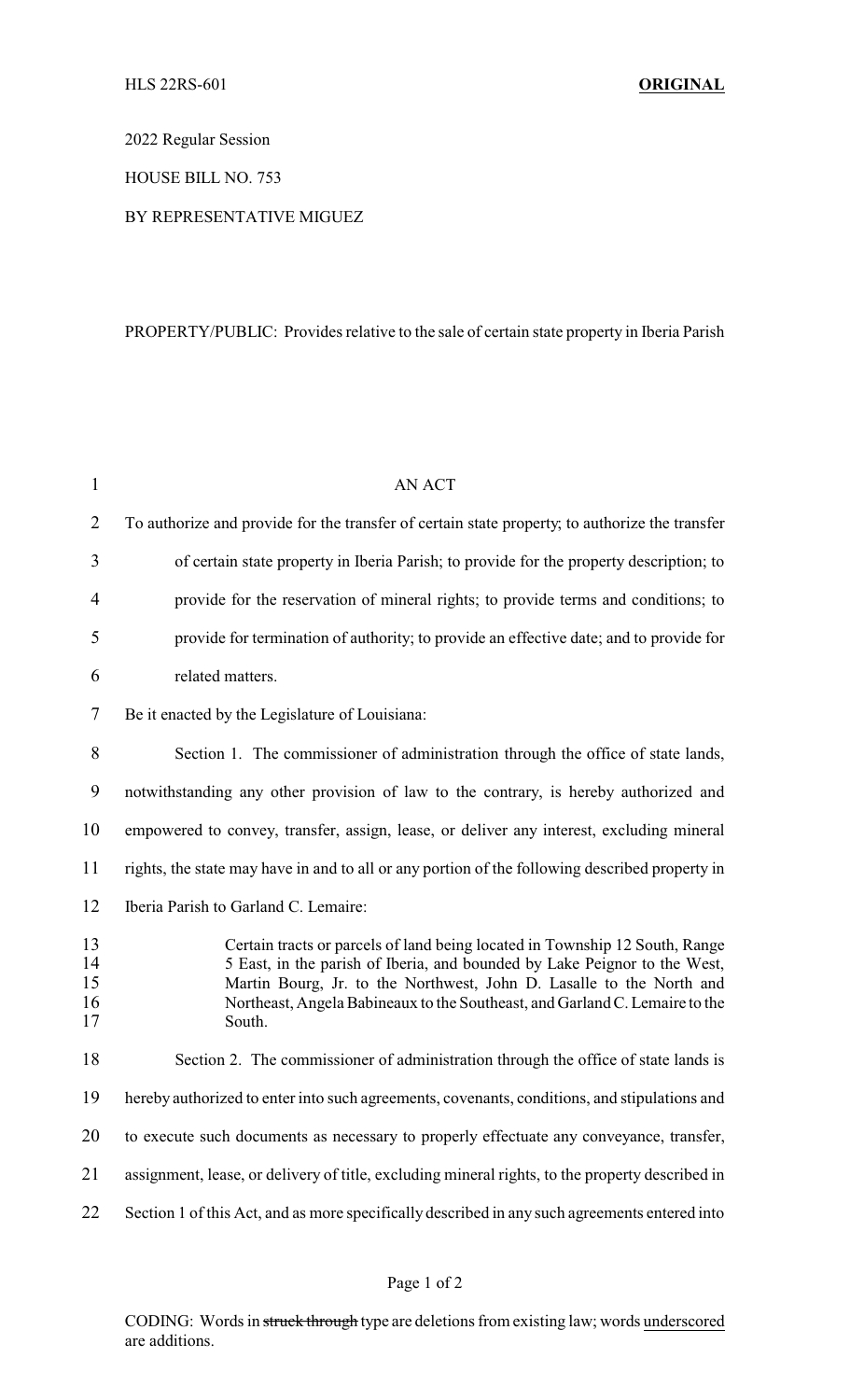2022 Regular Session

HOUSE BILL NO. 753

## BY REPRESENTATIVE MIGUEZ

## PROPERTY/PUBLIC: Provides relative to the sale of certain state property in Iberia Parish

| $\mathbf{1}$               | <b>AN ACT</b>                                                                                                                                                                                                                                                                                                             |
|----------------------------|---------------------------------------------------------------------------------------------------------------------------------------------------------------------------------------------------------------------------------------------------------------------------------------------------------------------------|
| $\overline{2}$             | To authorize and provide for the transfer of certain state property; to authorize the transfer                                                                                                                                                                                                                            |
| 3                          | of certain state property in Iberia Parish; to provide for the property description; to                                                                                                                                                                                                                                   |
| $\overline{4}$             | provide for the reservation of mineral rights; to provide terms and conditions; to                                                                                                                                                                                                                                        |
| 5                          | provide for termination of authority; to provide an effective date; and to provide for                                                                                                                                                                                                                                    |
| 6                          | related matters.                                                                                                                                                                                                                                                                                                          |
| 7                          | Be it enacted by the Legislature of Louisiana:                                                                                                                                                                                                                                                                            |
| 8                          | Section 1. The commissioner of administration through the office of state lands,                                                                                                                                                                                                                                          |
| 9                          | notwithstanding any other provision of law to the contrary, is hereby authorized and                                                                                                                                                                                                                                      |
| 10                         | empowered to convey, transfer, assign, lease, or deliver any interest, excluding mineral                                                                                                                                                                                                                                  |
| 11                         | rights, the state may have in and to all or any portion of the following described property in                                                                                                                                                                                                                            |
| 12                         | Iberia Parish to Garland C. Lemaire:                                                                                                                                                                                                                                                                                      |
| 13<br>14<br>15<br>16<br>17 | Certain tracts or parcels of land being located in Township 12 South, Range<br>5 East, in the parish of Iberia, and bounded by Lake Peignor to the West,<br>Martin Bourg, Jr. to the Northwest, John D. Lasalle to the North and<br>Northeast, Angela Babineaux to the Southeast, and Garland C. Lemaire to the<br>South. |
| 18                         | Section 2. The commissioner of administration through the office of state lands is                                                                                                                                                                                                                                        |
| 19                         | hereby authorized to enter into such agreements, covenants, conditions, and stipulations and                                                                                                                                                                                                                              |
| 20                         | to execute such documents as necessary to properly effectuate any conveyance, transfer,                                                                                                                                                                                                                                   |
| 21                         | assignment, lease, or delivery of title, excluding mineral rights, to the property described in                                                                                                                                                                                                                           |
| 22                         | Section 1 of this Act, and as more specifically described in any such agreements entered into                                                                                                                                                                                                                             |

CODING: Words in struck through type are deletions from existing law; words underscored are additions.